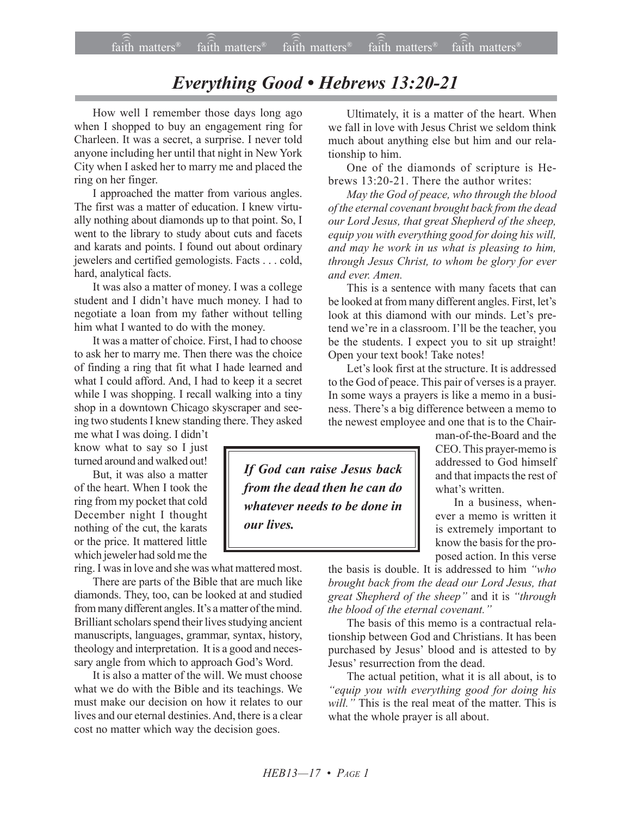## *Everything Good • Hebrews 13:20-21*

How well I remember those days long ago when I shopped to buy an engagement ring for Charleen. It was a secret, a surprise. I never told anyone including her until that night in New York City when I asked her to marry me and placed the ring on her finger.

I approached the matter from various angles. The first was a matter of education. I knew virtually nothing about diamonds up to that point. So, I went to the library to study about cuts and facets and karats and points. I found out about ordinary jewelers and certified gemologists. Facts . . . cold, hard, analytical facts.

It was also a matter of money. I was a college student and I didn't have much money. I had to negotiate a loan from my father without telling him what I wanted to do with the money.

It was a matter of choice. First, I had to choose to ask her to marry me. Then there was the choice of finding a ring that fit what I hade learned and what I could afford. And, I had to keep it a secret while I was shopping. I recall walking into a tiny shop in a downtown Chicago skyscraper and seeing two students I knew standing there. They asked

me what I was doing. I didn't know what to say so I just turned around and walked out!

But, it was also a matter of the heart. When I took the ring from my pocket that cold December night I thought nothing of the cut, the karats or the price. It mattered little which jeweler had sold me the

ring. I was in love and she was what mattered most.

There are parts of the Bible that are much like diamonds. They, too, can be looked at and studied from many different angles. It's a matter of the mind. Brilliant scholars spend their lives studying ancient manuscripts, languages, grammar, syntax, history, theology and interpretation. It is a good and necessary angle from which to approach God's Word.

It is also a matter of the will. We must choose what we do with the Bible and its teachings. We must make our decision on how it relates to our lives and our eternal destinies. And, there is a clear cost no matter which way the decision goes.

Ultimately, it is a matter of the heart. When we fall in love with Jesus Christ we seldom think much about anything else but him and our relationship to him.

One of the diamonds of scripture is Hebrews 13:20-21. There the author writes:

*May the God of peace, who through the blood of the eternal covenant brought back from the dead our Lord Jesus, that great Shepherd of the sheep, equip you with everything good for doing his will, and may he work in us what is pleasing to him, through Jesus Christ, to whom be glory for ever and ever. Amen.*

This is a sentence with many facets that can be looked at from many different angles. First, let's look at this diamond with our minds. Let's pretend we're in a classroom. I'll be the teacher, you be the students. I expect you to sit up straight! Open your text book! Take notes!

Let's look first at the structure. It is addressed to the God of peace. This pair of verses is a prayer. In some ways a prayers is like a memo in a business. There's a big difference between a memo to the newest employee and one that is to the Chair-

*If God can raise Jesus back from the dead then he can do whatever needs to be done in our lives.*

man-of-the-Board and the CEO. This prayer-memo is addressed to God himself and that impacts the rest of what's written.

In a business, whenever a memo is written it is extremely important to know the basis for the proposed action. In this verse

the basis is double. It is addressed to him *ìwho brought back from the dead our Lord Jesus, that great Shepherd of the sheep*" and it is "*through the blood of the eternal covenant.*"

The basis of this memo is a contractual relationship between God and Christians. It has been purchased by Jesus' blood and is attested to by Jesus' resurrection from the dead.

The actual petition, what it is all about, is to *ìequip you with everything good for doing his will.*" This is the real meat of the matter. This is what the whole prayer is all about.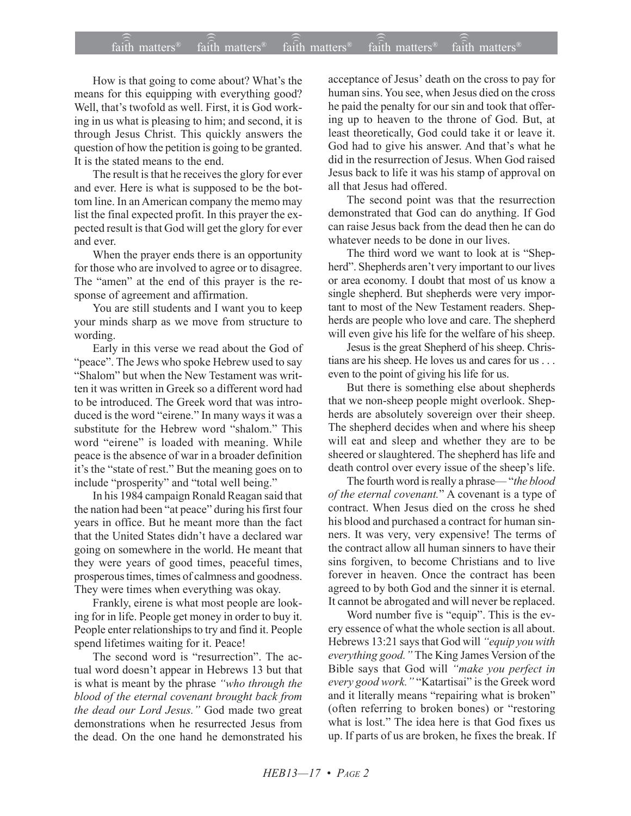## $\widehat{\widehat{\mathfrak{tair}}}$  matters  $^{\circ}$  faith matters faith matters  $^{\circ}$  faith matters faith matters  $^{\circ}$  $f$ aith matters<sup>®</sup>  $fa$  $\overline{i}$ th matters<sup>®</sup> faith matters<sup>®</sup>

How is that going to come about? What's the means for this equipping with everything good? Well, that's twofold as well. First, it is God working in us what is pleasing to him; and second, it is through Jesus Christ. This quickly answers the question of how the petition is going to be granted. It is the stated means to the end.

The result is that he receives the glory for ever and ever. Here is what is supposed to be the bottom line. In an American company the memo may list the final expected profit. In this prayer the expected result is that God will get the glory for ever and ever.

When the prayer ends there is an opportunity for those who are involved to agree or to disagree. The "amen" at the end of this prayer is the response of agreement and affirmation.

You are still students and I want you to keep your minds sharp as we move from structure to wording.

Early in this verse we read about the God of "peace". The Jews who spoke Hebrew used to say "Shalom" but when the New Testament was written it was written in Greek so a different word had to be introduced. The Greek word that was introduced is the word "eirene." In many ways it was a substitute for the Hebrew word "shalom." This word "eirene" is loaded with meaning. While peace is the absence of war in a broader definition it's the "state of rest." But the meaning goes on to include "prosperity" and "total well being."

In his 1984 campaign Ronald Reagan said that the nation had been "at peace" during his first four years in office. But he meant more than the fact that the United States didn't have a declared war going on somewhere in the world. He meant that they were years of good times, peaceful times, prosperous times, times of calmness and goodness. They were times when everything was okay.

Frankly, eirene is what most people are looking for in life. People get money in order to buy it. People enter relationships to try and find it. People spend lifetimes waiting for it. Peace!

The second word is "resurrection". The actual word doesn't appear in Hebrews 13 but that is what is meant by the phrase "who through the *blood of the eternal covenant brought back from* the dead our Lord Jesus." God made two great demonstrations when he resurrected Jesus from the dead. On the one hand he demonstrated his acceptance of Jesus' death on the cross to pay for human sins. You see, when Jesus died on the cross he paid the penalty for our sin and took that offering up to heaven to the throne of God. But, at least theoretically, God could take it or leave it. God had to give his answer. And that's what he did in the resurrection of Jesus. When God raised Jesus back to life it was his stamp of approval on all that Jesus had offered.

The second point was that the resurrection demonstrated that God can do anything. If God can raise Jesus back from the dead then he can do whatever needs to be done in our lives.

The third word we want to look at is "Shepherd". Shepherds aren't very important to our lives or area economy. I doubt that most of us know a single shepherd. But shepherds were very important to most of the New Testament readers. Shepherds are people who love and care. The shepherd will even give his life for the welfare of his sheep.

Jesus is the great Shepherd of his sheep. Christians are his sheep. He loves us and cares for us . . . even to the point of giving his life for us.

But there is something else about shepherds that we non-sheep people might overlook. Shepherds are absolutely sovereign over their sheep. The shepherd decides when and where his sheep will eat and sleep and whether they are to be sheered or slaughtered. The shepherd has life and death control over every issue of the sheep's life.

The fourth word is really a phrase—"the blood *of the eternal covenant.*î A covenant is a type of contract. When Jesus died on the cross he shed his blood and purchased a contract for human sinners. It was very, very expensive! The terms of the contract allow all human sinners to have their sins forgiven, to become Christians and to live forever in heaven. Once the contract has been agreed to by both God and the sinner it is eternal. It cannot be abrogated and will never be replaced.

Word number five is "equip". This is the every essence of what the whole section is all about. Hebrews 13:21 says that God will "equip you with everything good.<sup>"</sup> The King James Version of the Bible says that God will *ìmake you perfect in every good work.*" "Katartisai" is the Greek word and it literally means "repairing what is broken" (often referring to broken bones) or "restoring what is lost." The idea here is that God fixes us up. If parts of us are broken, he fixes the break. If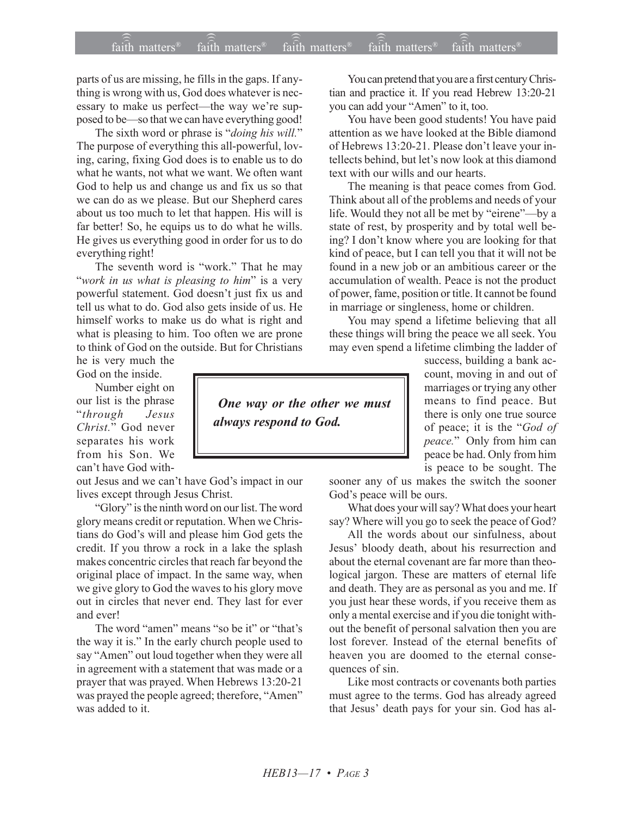parts of us are missing, he fills in the gaps. If anything is wrong with us, God does whatever is necessary to make us perfect—the way we're supposed to be—so that we can have everything good!

The sixth word or phrase is "*doing his will*." The purpose of everything this all-powerful, loving, caring, fixing God does is to enable us to do what he wants, not what we want. We often want God to help us and change us and fix us so that we can do as we please. But our Shepherd cares about us too much to let that happen. His will is far better! So, he equips us to do what he wills. He gives us everything good in order for us to do everything right!

The seventh word is "work." That he may ì*work in us what is pleasing to him*î is a very powerful statement. God doesn't just fix us and tell us what to do. God also gets inside of us. He himself works to make us do what is right and what is pleasing to him. Too often we are prone to think of God on the outside. But for Christians

he is very much the God on the inside.

Number eight on our list is the phrase ì*through Jesus Christ.*î God never separates his work from his Son. We can't have God with-

out Jesus and we can't have God's impact in our lives except through Jesus Christ.

"Glory" is the ninth word on our list. The word glory means credit or reputation. When we Christians do God's will and please him God gets the credit. If you throw a rock in a lake the splash makes concentric circles that reach far beyond the original place of impact. In the same way, when we give glory to God the waves to his glory move out in circles that never end. They last for ever and ever!

The word "amen" means "so be it" or "that's the way it is." In the early church people used to say "Amen" out loud together when they were all in agreement with a statement that was made or a prayer that was prayed. When Hebrews 13:20-21 was prayed the people agreed; therefore, "Amen" was added to it.

You can pretend that you are a first century Christian and practice it. If you read Hebrew 13:20-21 you can add your "Amen" to it, too.

You have been good students! You have paid attention as we have looked at the Bible diamond of Hebrews 13:20-21. Please don't leave your intellects behind, but let's now look at this diamond text with our wills and our hearts.

The meaning is that peace comes from God. Think about all of the problems and needs of your life. Would they not all be met by "eirene"—by a state of rest, by prosperity and by total well being? I don't know where you are looking for that kind of peace, but I can tell you that it will not be found in a new job or an ambitious career or the accumulation of wealth. Peace is not the product of power, fame, position or title. It cannot be found in marriage or singleness, home or children.

You may spend a lifetime believing that all these things will bring the peace we all seek. You may even spend a lifetime climbing the ladder of

> success, building a bank account, moving in and out of marriages or trying any other means to find peace. But there is only one true source of peace; it is the "God of *peace.*î Only from him can peace be had. Only from him is peace to be sought. The

sooner any of us makes the switch the sooner God's peace will be ours.

What does your will say? What does your heart say? Where will you go to seek the peace of God?

All the words about our sinfulness, about Jesus' bloody death, about his resurrection and about the eternal covenant are far more than theological jargon. These are matters of eternal life and death. They are as personal as you and me. If you just hear these words, if you receive them as only a mental exercise and if you die tonight without the benefit of personal salvation then you are lost forever. Instead of the eternal benefits of heaven you are doomed to the eternal consequences of sin.

Like most contracts or covenants both parties must agree to the terms. God has already agreed that Jesus' death pays for your sin. God has al-

 *One way or the other we must always respond to God.*